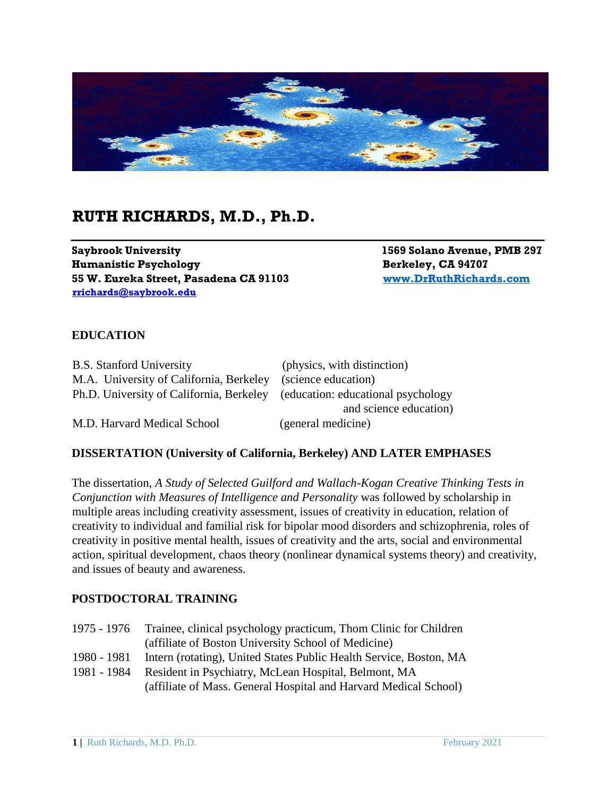

# **RUTH RICHARDS, M.D., Ph.D.**

**Saybrook University 1569 Solano Avenue, PMB 297 Humanistic Psychology** Berkeley, CA 94707 **55 W. Eureka Street, Pasadena CA 91103 [www.DrRuthRichards.com](http://www.drruthrichards.com/) rrichards@saybrook.edu** 

## **EDUCATION**

| <b>B.S.</b> Stanford University          | (physics, with distinction)         |
|------------------------------------------|-------------------------------------|
| M.A. University of California, Berkeley  | (science education)                 |
| Ph.D. University of California, Berkeley | (education: educational psychology) |
|                                          | and science education)              |
| M.D. Harvard Medical School              | (general medicine)                  |

#### **DISSERTATION (University of California, Berkeley) AND LATER EMPHASES**

The dissertation, *A Study of Selected Guilford and Wallach-Kogan Creative Thinking Tests in Conjunction with Measures of Intelligence and Personality* was followed by scholarship in multiple areas including creativity assessment, issues of creativity in education, relation of creativity to individual and familial risk for bipolar mood disorders and schizophrenia, roles of creativity in positive mental health, issues of creativity and the arts, social and environmental action, spiritual development, chaos theory (nonlinear dynamical systems theory) and creativity, and issues of beauty and awareness.

#### **POSTDOCTORAL TRAINING**

| 1975 - 1976 | Trainee, clinical psychology practicum, Thom Clinic for Children   |  |
|-------------|--------------------------------------------------------------------|--|
|             | (affiliate of Boston University School of Medicine)                |  |
| 1980 - 1981 | Intern (rotating), United States Public Health Service, Boston, MA |  |
| 1981 - 1984 | Resident in Psychiatry, McLean Hospital, Belmont, MA               |  |
|             | (affiliate of Mass. General Hospital and Harvard Medical School)   |  |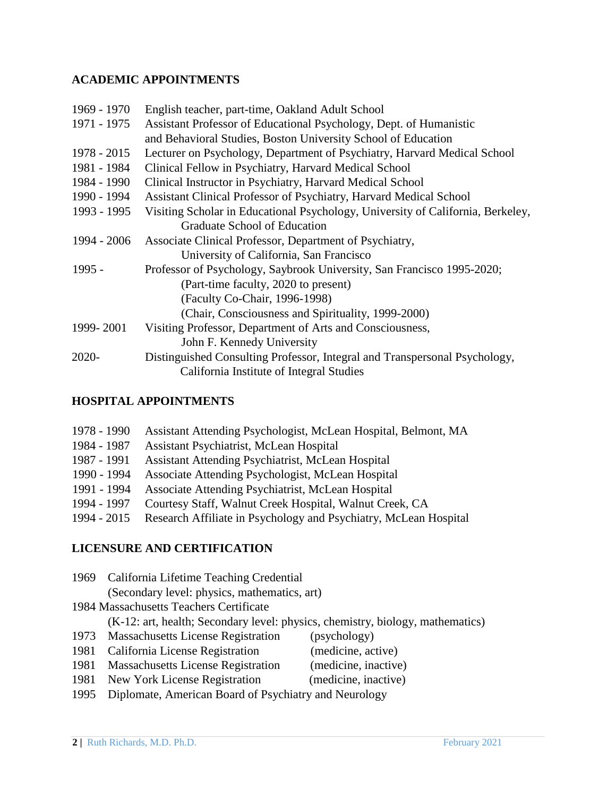## **ACADEMIC APPOINTMENTS**

| 1969 - 1970   | English teacher, part-time, Oakland Adult School                                |  |
|---------------|---------------------------------------------------------------------------------|--|
| 1971 - 1975   | Assistant Professor of Educational Psychology, Dept. of Humanistic              |  |
|               | and Behavioral Studies, Boston University School of Education                   |  |
| $1978 - 2015$ | Lecturer on Psychology, Department of Psychiatry, Harvard Medical School        |  |
| 1981 - 1984   | Clinical Fellow in Psychiatry, Harvard Medical School                           |  |
| 1984 - 1990   | Clinical Instructor in Psychiatry, Harvard Medical School                       |  |
| 1990 - 1994   | Assistant Clinical Professor of Psychiatry, Harvard Medical School              |  |
| 1993 - 1995   | Visiting Scholar in Educational Psychology, University of California, Berkeley, |  |
|               | Graduate School of Education                                                    |  |
| 1994 - 2006   | Associate Clinical Professor, Department of Psychiatry,                         |  |
|               | University of California, San Francisco                                         |  |
| $1995 -$      | Professor of Psychology, Saybrook University, San Francisco 1995-2020;          |  |
|               | (Part-time faculty, 2020 to present)                                            |  |
|               | (Faculty Co-Chair, 1996-1998)                                                   |  |
|               | (Chair, Consciousness and Spirituality, 1999-2000)                              |  |
| 1999-2001     | Visiting Professor, Department of Arts and Consciousness,                       |  |
|               | John F. Kennedy University                                                      |  |
| 2020-         | Distinguished Consulting Professor, Integral and Transpersonal Psychology,      |  |
|               | California Institute of Integral Studies                                        |  |
|               |                                                                                 |  |

## **HOSPITAL APPOINTMENTS**

| 1978 - 1990 | Assistant Attending Psychologist, McLean Hospital, Belmont, MA   |
|-------------|------------------------------------------------------------------|
| 1984 - 1987 | Assistant Psychiatrist, McLean Hospital                          |
| 1987 - 1991 | <b>Assistant Attending Psychiatrist, McLean Hospital</b>         |
| 1990 - 1994 | Associate Attending Psychologist, McLean Hospital                |
| 1991 - 1994 | Associate Attending Psychiatrist, McLean Hospital                |
| 1994 - 1997 | Courtesy Staff, Walnut Creek Hospital, Walnut Creek, CA          |
| 1994 - 2015 | Research Affiliate in Psychology and Psychiatry, McLean Hospital |

## **LICENSURE AND CERTIFICATION**

|                                         | 1969 California Lifetime Teaching Credential                                   |                      |
|-----------------------------------------|--------------------------------------------------------------------------------|----------------------|
|                                         | (Secondary level: physics, mathematics, art)                                   |                      |
| 1984 Massachusetts Teachers Certificate |                                                                                |                      |
|                                         | (K-12: art, health; Secondary level: physics, chemistry, biology, mathematics) |                      |
|                                         | 1973 Massachusetts License Registration                                        | (psychology)         |
|                                         | 1981 California License Registration                                           | (medicine, active)   |
|                                         | 1981 Massachusetts License Registration                                        | (medicine, inactive) |

- 1981 New York License Registration (medicine, inactive)
- 1995 Diplomate, American Board of Psychiatry and Neurology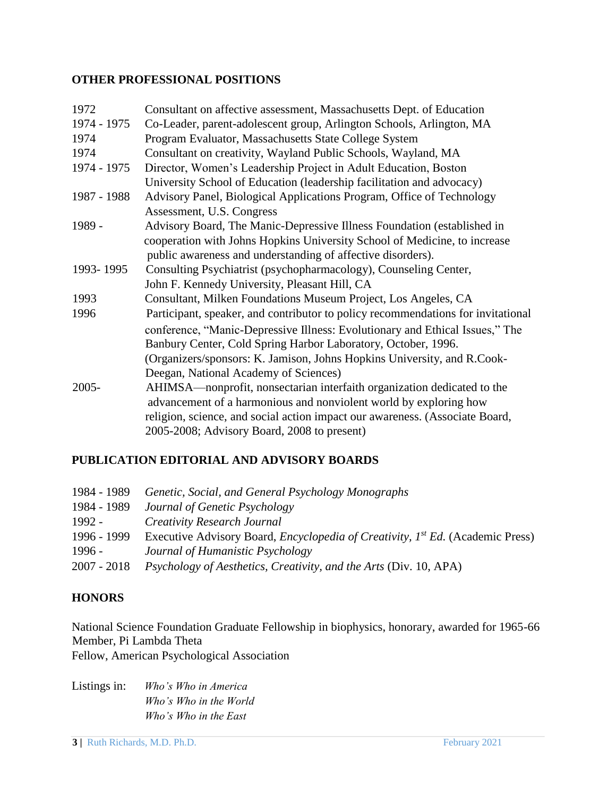#### **OTHER PROFESSIONAL POSITIONS**

| 1972        | Consultant on affective assessment, Massachusetts Dept. of Education             |
|-------------|----------------------------------------------------------------------------------|
| 1974 - 1975 | Co-Leader, parent-adolescent group, Arlington Schools, Arlington, MA             |
| 1974        | Program Evaluator, Massachusetts State College System                            |
| 1974        | Consultant on creativity, Wayland Public Schools, Wayland, MA                    |
| 1974 - 1975 | Director, Women's Leadership Project in Adult Education, Boston                  |
|             | University School of Education (leadership facilitation and advocacy)            |
| 1987 - 1988 | Advisory Panel, Biological Applications Program, Office of Technology            |
|             | Assessment, U.S. Congress                                                        |
| 1989 -      | Advisory Board, The Manic-Depressive Illness Foundation (established in          |
|             | cooperation with Johns Hopkins University School of Medicine, to increase        |
|             | public awareness and understanding of affective disorders).                      |
| 1993-1995   | Consulting Psychiatrist (psychopharmacology), Counseling Center,                 |
|             | John F. Kennedy University, Pleasant Hill, CA                                    |
| 1993        | Consultant, Milken Foundations Museum Project, Los Angeles, CA                   |
| 1996        | Participant, speaker, and contributor to policy recommendations for invitational |
|             | conference, "Manic-Depressive Illness: Evolutionary and Ethical Issues," The     |
|             | Banbury Center, Cold Spring Harbor Laboratory, October, 1996.                    |
|             | (Organizers/sponsors: K. Jamison, Johns Hopkins University, and R.Cook-          |
|             | Deegan, National Academy of Sciences)                                            |
| $2005 -$    | AHIMSA—nonprofit, nonsectarian interfaith organization dedicated to the          |
|             | advancement of a harmonious and nonviolent world by exploring how                |
|             | religion, science, and social action impact our awareness. (Associate Board,     |
|             | 2005-2008; Advisory Board, 2008 to present)                                      |

## **PUBLICATION EDITORIAL AND ADVISORY BOARDS**

| 1984 - 1989 | Genetic, Social, and General Psychology Monographs                                                 |
|-------------|----------------------------------------------------------------------------------------------------|
| 1984 - 1989 | Journal of Genetic Psychology                                                                      |
| 1992 -      | <b>Creativity Research Journal</b>                                                                 |
| 1996 - 1999 | Executive Advisory Board, <i>Encyclopedia of Creativity</i> , 1 <sup>st</sup> Ed. (Academic Press) |
| $1996 -$    | Journal of Humanistic Psychology                                                                   |
| 2007 - 2018 | <i>Psychology of Aesthetics, Creativity, and the Arts (Div. 10, APA)</i>                           |

## **HONORS**

National Science Foundation Graduate Fellowship in biophysics, honorary, awarded for 1965-66 Member, Pi Lambda Theta

Fellow, American Psychological Association

Listings in: *Who's Who in America Who's Who in the World Who's Who in the East*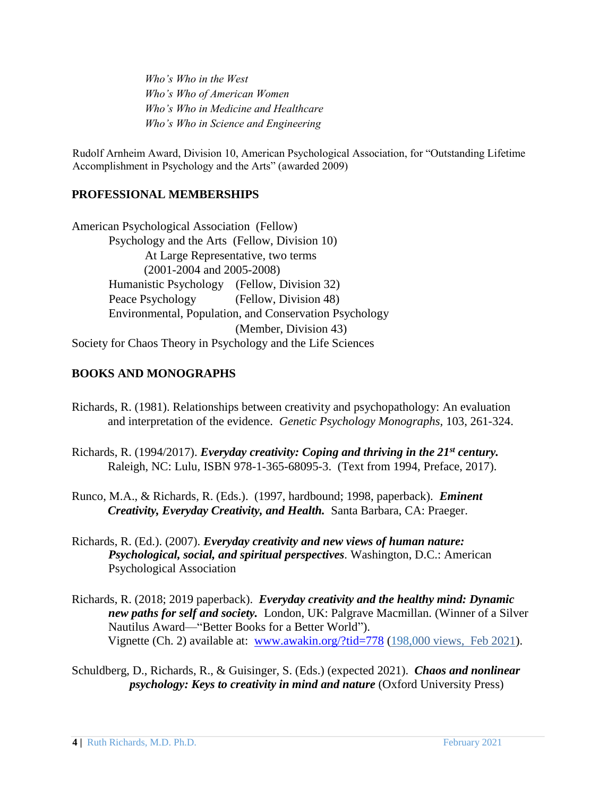*Who's Who in the West Who's Who of American Women Who's Who in Medicine and Healthcare Who's Who in Science and Engineering* 

Rudolf Arnheim Award, Division 10, American Psychological Association, for "Outstanding Lifetime Accomplishment in Psychology and the Arts" (awarded 2009)

## **PROFESSIONAL MEMBERSHIPS**

American Psychological Association (Fellow) Psychology and the Arts (Fellow, Division 10) At Large Representative, two terms (2001-2004 and 2005-2008) Humanistic Psychology (Fellow, Division 32) Peace Psychology (Fellow, Division 48) Environmental, Population, and Conservation Psychology (Member, Division 43) Society for Chaos Theory in Psychology and the Life Sciences

## **BOOKS AND MONOGRAPHS**

- Richards, R. (1981). Relationships between creativity and psychopathology: An evaluation and interpretation of the evidence. *Genetic Psychology Monographs,* 103, 261-324.
- Richards, R. (1994/2017). *Everyday creativity: Coping and thriving in the 21st century.*  Raleigh, NC: Lulu*,* ISBN 978-1-365-68095-3. (Text from 1994, Preface, 2017).
- Runco, M.A., & Richards, R. (Eds.). (1997, hardbound; 1998, paperback). *Eminent Creativity, Everyday Creativity, and Health.* Santa Barbara, CA: Praeger.
- Richards, R. (Ed.). (2007). *Everyday creativity and new views of human nature: Psychological, social, and spiritual perspectives.* Washington, D.C.: American Psychological Association
- Richards, R. (2018; 2019 paperback). *Everyday creativity and the healthy mind: Dynamic new paths for self and society.* London, UK: Palgrave Macmillan. (Winner of a Silver Nautilus Award—"Better Books for a Better World"). **Vignette (Ch. 2) available at:** [www.awakin.org/?tid=778](http://www.awakin.org/?tid=778) (198,000 views, Feb 2021).
- Schuldberg, D., Richards, R., & Guisinger, S. (Eds.) (expected 2021). *Chaos and nonlinear psychology: Keys to creativity in mind and nature* (Oxford University Press)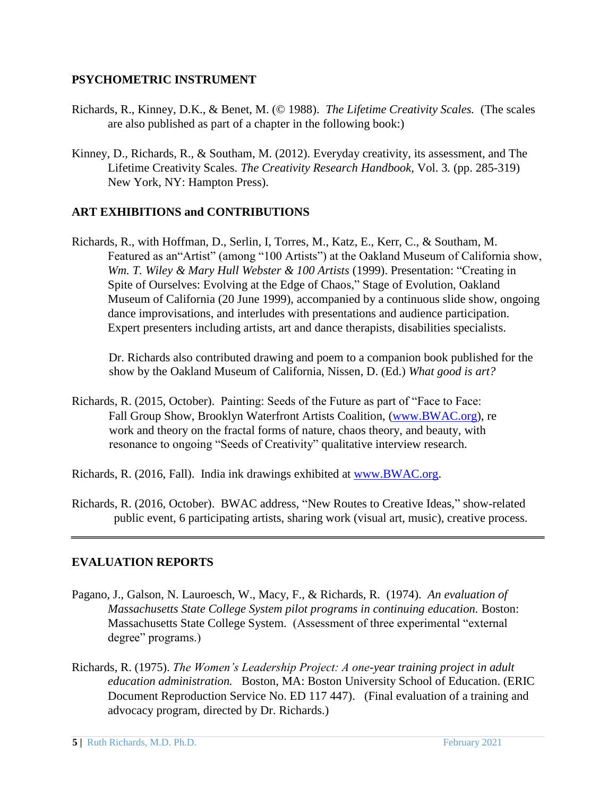#### **PSYCHOMETRIC INSTRUMENT**

- Richards, R., Kinney, D.K., & Benet, M. (© 1988). *The Lifetime Creativity Scales.* (The scales are also published as part of a chapter in the following book:)
- Kinney, D., Richards, R., & Southam, M. (2012). Everyday creativity, its assessment, and The Lifetime Creativity Scales. *The Creativity Research Handbook,* Vol. 3*.* (pp. 285-319) New York, NY: Hampton Press).

## **ART EXHIBITIONS and CONTRIBUTIONS**

Richards, R., with Hoffman, D., Serlin, I, Torres, M., Katz, E., Kerr, C., & Southam, M. Featured as an"Artist" (among "100 Artists") at the Oakland Museum of California show, *Wm. T. Wiley & Mary Hull Webster & 100 Artists* (1999). Presentation: "Creating in Spite of Ourselves: Evolving at the Edge of Chaos," Stage of Evolution, Oakland Museum of California (20 June 1999), accompanied by a continuous slide show, ongoing dance improvisations, and interludes with presentations and audience participation. Expert presenters including artists, art and dance therapists, disabilities specialists.

Dr. Richards also contributed drawing and poem to a companion book published for the show by the Oakland Museum of California, Nissen, D. (Ed.) *What good is art?* 

- Richards, R. (2015, October). Painting: Seeds of the Future as part of "Face to Face: Fall Group Show, Brooklyn Waterfront Artists Coalition, [\(www.BWAC.org\),](http://www.bwac.org/) re work and theory on the fractal forms of nature, chaos theory, and beauty, with resonance to ongoing "Seeds of Creativity" qualitative interview research.
- Richards, R. (2016, Fall). India ink drawings exhibited at [www.BWAC.org.](http://www.bwac.org/)
- Richards, R. (2016, October). BWAC address, "New Routes to Creative Ideas," show-related public event, 6 participating artists, sharing work (visual art, music), creative process.

## **EVALUATION REPORTS**

- Pagano, J., Galson, N. Lauroesch, W., Macy, F., & Richards, R. (1974). *An evaluation of Massachusetts State College System pilot programs in continuing education. Boston:* Massachusetts State College System.(Assessment of three experimental "external degree" programs.)
- Richards, R. (1975). *The Women's Leadership Project: A one-year training project in adult education administration.* Boston, MA: Boston University School of Education. (ERIC Document Reproduction Service No. ED 117 447). (Final evaluation of a training and advocacy program, directed by Dr. Richards.)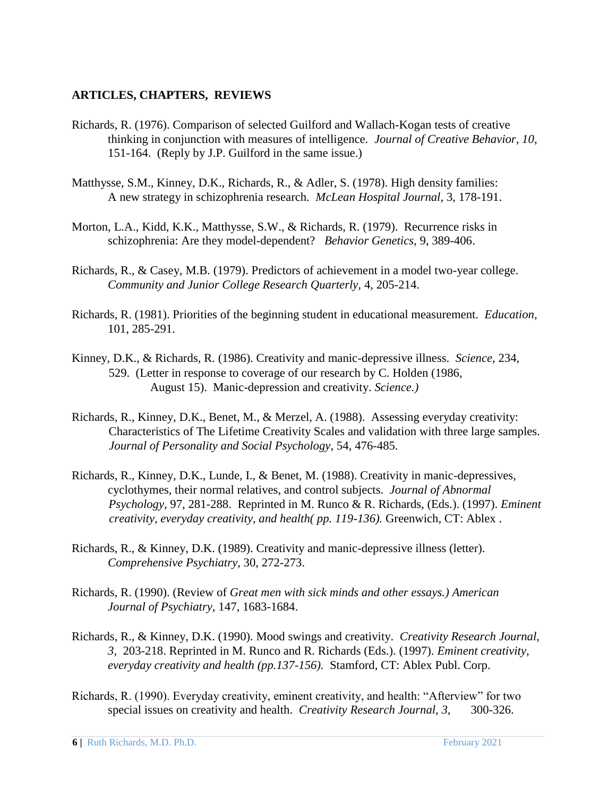## **ARTICLES, CHAPTERS, REVIEWS**

- Richards, R. (1976). Comparison of selected Guilford and Wallach-Kogan tests of creative thinking in conjunction with measures of intelligence. *Journal of Creative Behavior, 10*, 151-164. (Reply by J.P. Guilford in the same issue.)
- Matthysse, S.M., Kinney, D.K., Richards, R., & Adler, S. (1978). High density families: A new strategy in schizophrenia research. *McLean Hospital Journal,* 3, 178-191.
- Morton, L.A., Kidd, K.K., Matthysse, S.W., & Richards, R. (1979). Recurrence risks in schizophrenia: Are they model-dependent? *Behavior Genetics,* 9, 389-406.
- Richards, R., & Casey, M.B. (1979). Predictors of achievement in a model two-year college. *Community and Junior College Research Quarterly,* 4, 205-214.
- Richards, R. (1981). Priorities of the beginning student in educational measurement. *Education,*  101, 285-291.
- Kinney, D.K., & Richards, R. (1986). Creativity and manic-depressive illness. *Science,* 234, 529. (Letter in response to coverage of our research by C. Holden (1986, August 15). Manic-depression and creativity. *Science.)*
- Richards, R., Kinney, D.K., Benet, M., & Merzel, A. (1988). Assessing everyday creativity: Characteristics of The Lifetime Creativity Scales and validation with three large samples. *Journal of Personality and Social Psychology,* 54, 476-485.
- Richards, R., Kinney, D.K., Lunde, I., & Benet, M. (1988). Creativity in manic-depressives, cyclothymes, their normal relatives, and control subjects. *Journal of Abnormal Psychology,* 97, 281-288. Reprinted in M. Runco & R. Richards, (Eds.). (1997). *Eminent creativity, everyday creativity, and health( pp. 119-136).* Greenwich, CT: Ablex .
- Richards, R., & Kinney, D.K. (1989). Creativity and manic-depressive illness (letter). *Comprehensive Psychiatry,* 30, 272-273.
- Richards, R. (1990). (Review of *Great men with sick minds and other essays.) American Journal of Psychiatry,* 147, 1683-1684.
- Richards, R., & Kinney, D.K. (1990). Mood swings and creativity. *Creativity Research Journal, 3,* 203-218. Reprinted in M. Runco and R. Richards (Eds.). (1997). *Eminent creativity, everyday creativity and health (pp.137-156).* Stamford, CT: Ablex Publ. Corp.
- Richards, R. (1990). Everyday creativity, eminent creativity, and health: "Afterview" for two special issues on creativity and health. *Creativity Research Journal, 3,* 300-326.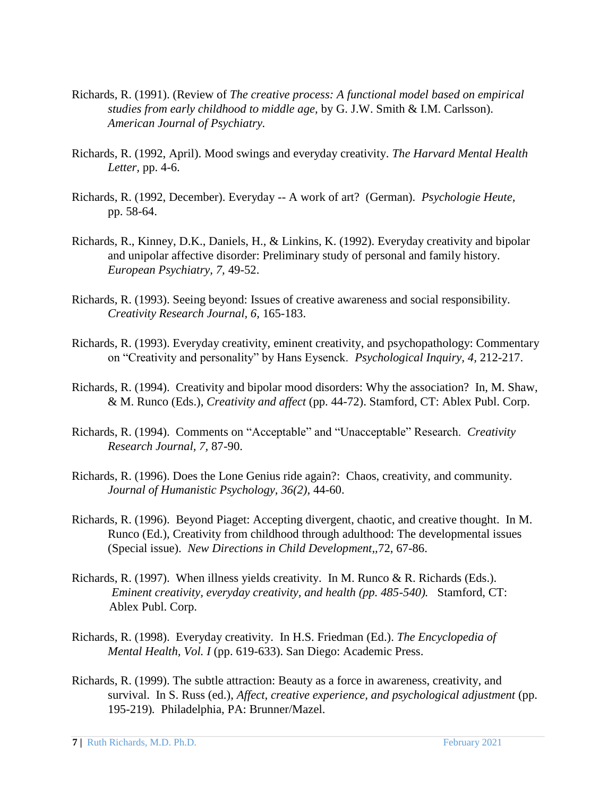- Richards, R. (1991). (Review of *The creative process: A functional model based on empirical studies from early childhood to middle age,* by G. J.W. Smith & I.M. Carlsson). *American Journal of Psychiatry.*
- Richards, R. (1992, April). Mood swings and everyday creativity. *The Harvard Mental Health Letter,* pp. 4-6.
- Richards, R. (1992, December). Everyday -- A work of art? (German). *Psychologie Heute,*  pp. 58-64.
- Richards, R., Kinney, D.K., Daniels, H., & Linkins, K. (1992). Everyday creativity and bipolar and unipolar affective disorder: Preliminary study of personal and family history. *European Psychiatry, 7,* 49-52.
- Richards, R. (1993). Seeing beyond: Issues of creative awareness and social responsibility. *Creativity Research Journal, 6,* 165-183.
- Richards, R. (1993). Everyday creativity, eminent creativity, and psychopathology: Commentary on "Creativity and personality" by Hans Eysenck. *Psychological Inquiry, 4,* 212-217.
- Richards, R. (1994). Creativity and bipolar mood disorders: Why the association? In, M. Shaw, & M. Runco (Eds.), *Creativity and affect* (pp. 44-72). Stamford, CT: Ablex Publ. Corp.
- Richards, R. (1994). Comments on "Acceptable" and "Unacceptable" Research. *Creativity Research Journal, 7,* 87-90.
- Richards, R. (1996). Does the Lone Genius ride again?: Chaos, creativity, and community. *Journal of Humanistic Psychology, 36(2),* 44-60.
- Richards, R. (1996). Beyond Piaget: Accepting divergent, chaotic, and creative thought. In M. Runco (Ed.), Creativity from childhood through adulthood: The developmental issues (Special issue). *New Directions in Child Development,,*72, 67-86.
- Richards, R. (1997). When illness yields creativity. In M. Runco & R. Richards (Eds.). *Eminent creativity, everyday creativity, and health (pp. 485-540).* Stamford, CT: Ablex Publ. Corp.
- Richards, R. (1998). Everyday creativity. In H.S. Friedman (Ed.). *The Encyclopedia of Mental Health, Vol. I* (pp. 619-633). San Diego: Academic Press.
- Richards, R. (1999). The subtle attraction: Beauty as a force in awareness, creativity, and survival. In S. Russ (ed.), *Affect, creative experience, and psychological adjustment* (pp. 195-219)*.* Philadelphia, PA: Brunner/Mazel.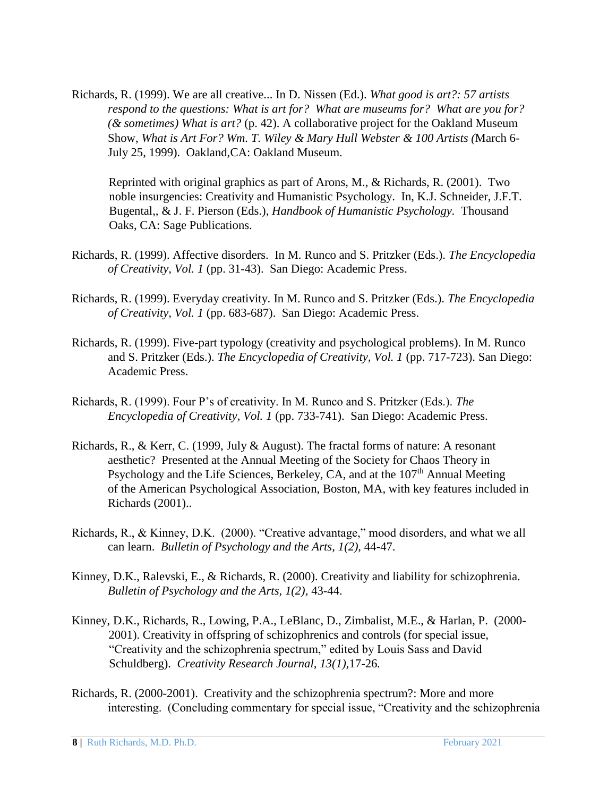Richards, R. (1999). We are all creative... In D. Nissen (Ed.). *What good is art?: 57 artists respond to the questions: What is art for? What are museums for? What are you for? (& sometimes) What is art?* (p. 42). A collaborative project for the Oakland Museum Show, *What is Art For? Wm. T. Wiley & Mary Hull Webster & 100 Artists (*March 6- July 25, 1999). Oakland,CA: Oakland Museum.

Reprinted with original graphics as part of Arons, M., & Richards, R. (2001). Two noble insurgencies: Creativity and Humanistic Psychology. In, K.J. Schneider, J.F.T. Bugental,, & J. F. Pierson (Eds.), *Handbook of Humanistic Psychology.* Thousand Oaks, CA: Sage Publications.

- Richards, R. (1999). Affective disorders. In M. Runco and S. Pritzker (Eds.). *The Encyclopedia of Creativity, Vol. 1* (pp. 31-43). San Diego: Academic Press.
- Richards, R. (1999). Everyday creativity. In M. Runco and S. Pritzker (Eds.). *The Encyclopedia of Creativity, Vol. 1* (pp. 683-687). San Diego: Academic Press.
- Richards, R. (1999). Five-part typology (creativity and psychological problems). In M. Runco and S. Pritzker (Eds.). *The Encyclopedia of Creativity, Vol. 1* (pp. 717-723). San Diego: Academic Press.
- Richards, R. (1999). Four P's of creativity. In M. Runco and S. Pritzker (Eds.). *The Encyclopedia of Creativity, Vol. 1* (pp. 733-741). San Diego: Academic Press.
- Richards, R., & Kerr, C. (1999, July & August). The fractal forms of nature: A resonant aesthetic? Presented at the Annual Meeting of the Society for Chaos Theory in Psychology and the Life Sciences, Berkeley, CA, and at the  $107<sup>th</sup>$  Annual Meeting of the American Psychological Association, Boston, MA, with key features included in Richards (2001)..
- Richards, R., & Kinney, D.K. (2000). "Creative advantage," mood disorders, and what we all can learn. *Bulletin of Psychology and the Arts, 1(2),* 44-47.
- Kinney, D.K., Ralevski, E., & Richards, R. (2000). Creativity and liability for schizophrenia. *Bulletin of Psychology and the Arts, 1(2),* 43-44.
- Kinney, D.K., Richards, R., Lowing, P.A., LeBlanc, D., Zimbalist, M.E., & Harlan, P. (2000- 2001). Creativity in offspring of schizophrenics and controls (for special issue, "Creativity and the schizophrenia spectrum," edited by Louis Sass and David Schuldberg). *Creativity Research Journal, 13(1),*17-26*.*
- Richards, R. (2000-2001). Creativity and the schizophrenia spectrum?: More and more interesting. (Concluding commentary for special issue, "Creativity and the schizophrenia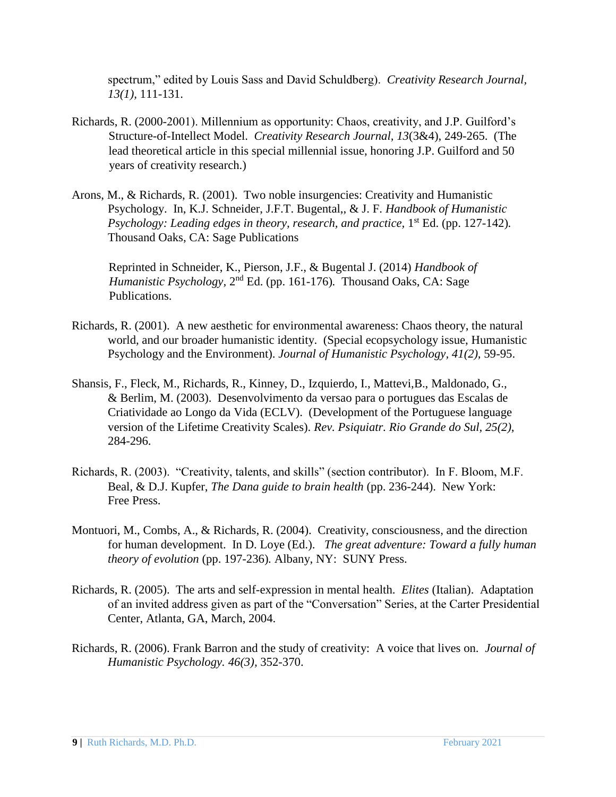spectrum," edited by Louis Sass and David Schuldberg). *Creativity Research Journal, 13(1),* 111-131.

- Richards, R. (2000-2001). Millennium as opportunity: Chaos, creativity, and J.P. Guilford's Structure-of-Intellect Model. *Creativity Research Journal, 13*(3&4), 249-265. (The lead theoretical article in this special millennial issue, honoring J.P. Guilford and 50 years of creativity research.)
- Arons, M., & Richards, R. (2001). Two noble insurgencies: Creativity and Humanistic Psychology. In, K.J. Schneider, J.F.T. Bugental,, & J. F. *Handbook of Humanistic Psychology: Leading edges in theory, research, and practice,* 1<sup>st</sup> Ed. (pp. 127-142). Thousand Oaks, CA: Sage Publications

Reprinted in Schneider, K., Pierson, J.F., & Bugental J. (2014) *Handbook of*  Humanistic Psychology, 2<sup>nd</sup> Ed. (pp. 161-176). Thousand Oaks, CA: Sage Publications.

- Richards, R. (2001). A new aesthetic for environmental awareness: Chaos theory, the natural world, and our broader humanistic identity. (Special ecopsychology issue, Humanistic Psychology and the Environment). *Journal of Humanistic Psychology, 41(2),* 59-95.
- Shansis, F., Fleck, M., Richards, R., Kinney, D., Izquierdo, I., Mattevi,B., Maldonado, G., & Berlim, M. (2003). Desenvolvimento da versao para o portugues das Escalas de Criatividade ao Longo da Vida (ECLV). (Development of the Portuguese language version of the Lifetime Creativity Scales). *Rev. Psiquiatr. Rio Grande do Sul, 25(2),*  284-296.
- Richards, R. (2003). "Creativity, talents, and skills" (section contributor). In F. Bloom, M.F. Beal, & D.J. Kupfer, *The Dana guide to brain health* (pp. 236-244). New York: Free Press.
- Montuori, M., Combs, A., & Richards, R. (2004). Creativity, consciousness, and the direction for human development. In D. Loye (Ed.). *The great adventure: Toward a fully human theory of evolution* (pp. 197-236)*.* Albany, NY: SUNY Press.
- Richards, R. (2005). The arts and self-expression in mental health. *Elites* (Italian). Adaptation of an invited address given as part of the "Conversation" Series, at the Carter Presidential Center, Atlanta, GA, March, 2004.
- Richards, R. (2006). Frank Barron and the study of creativity: A voice that lives on. *Journal of Humanistic Psychology. 46(3),* 352-370.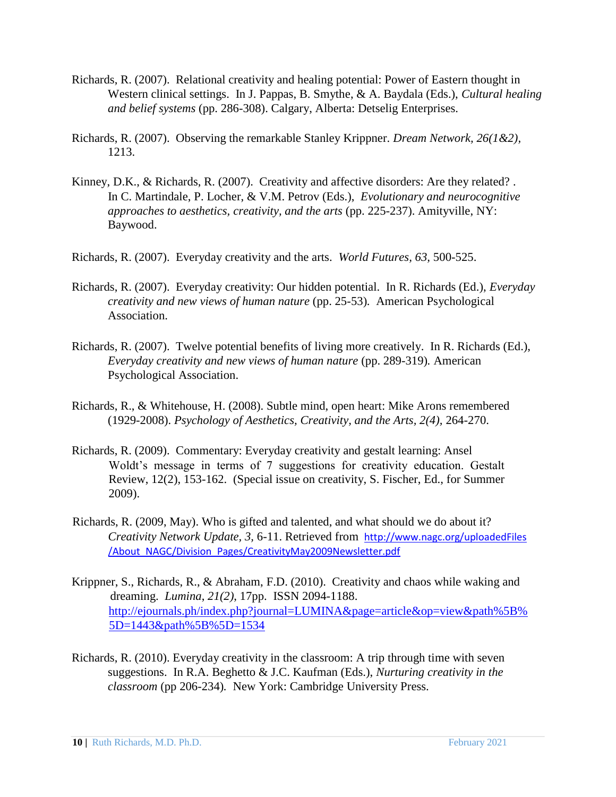- Richards, R. (2007). Relational creativity and healing potential: Power of Eastern thought in Western clinical settings. In J. Pappas, B. Smythe, & A. Baydala (Eds.), *Cultural healing and belief systems* (pp. 286-308). Calgary, Alberta: Detselig Enterprises.
- Richards, R. (2007). Observing the remarkable Stanley Krippner. *Dream Network, 26(1&2),*  1213.
- Kinney, D.K., & Richards, R. (2007). Creativity and affective disorders: Are they related? *.*  In C. Martindale, P. Locher, & V.M. Petrov (Eds.), *Evolutionary and neurocognitive approaches to aesthetics, creativity, and the arts* (pp. 225-237). Amityville, NY: Baywood.
- Richards, R. (2007). Everyday creativity and the arts. *World Futures, 63,* 500-525.
- Richards, R. (2007). Everyday creativity: Our hidden potential. In R. Richards (Ed.), *Everyday creativity and new views of human nature* (pp. 25-53)*.* American Psychological Association.
- Richards, R. (2007). Twelve potential benefits of living more creatively. In R. Richards (Ed.), *Everyday creativity and new views of human nature* (pp. 289-319)*.* American Psychological Association.
- Richards, R., & Whitehouse, H. (2008). Subtle mind, open heart: Mike Arons remembered (1929-2008). *Psychology of Aesthetics, Creativity, and the Arts, 2(4),* 264-270.
- Richards, R. (2009). Commentary: Everyday creativity and gestalt learning: Ansel Woldt's message in terms of 7 suggestions for creativity education. Gestalt Review, 12(2), 153-162. (Special issue on creativity, S. Fischer, Ed., for Summer 2009).
- Richards, R. (2009, May). Who is gifted and talented, and what should we do about it? *Creativity Network Update, 3,* 6-11. Retrieved from [http://www.nagc.org/uploadedFiles](http://www.nagc.org/uploadedFiles%20/About_NAGC/Division_Pages/CreativityMay2009Newsletter.pdf) [/About\\_NAGC/Division\\_Pages/CreativityMay2009Newsletter.pdf](http://www.nagc.org/uploadedFiles%20/About_NAGC/Division_Pages/CreativityMay2009Newsletter.pdf)
- Krippner, S., Richards, R., & Abraham, F.D. (2010). Creativity and chaos while waking and dreaming. *Lumina*, *21(2)*, 17pp. ISSN 2094-1188. [http://ejournals.ph/index.php?journal=LUMINA&page=article&op=view&path%5B%](http://ejournals.ph/index.php?journal=LUMINA&page=article&op=view&path%5B%5D=1443&path%5B%5D=1534)  [5D=1443&path%5B%5D=1534](http://ejournals.ph/index.php?journal=LUMINA&page=article&op=view&path%5B%5D=1443&path%5B%5D=1534)
- Richards, R. (2010). Everyday creativity in the classroom: A trip through time with seven suggestions. In R.A. Beghetto & J.C. Kaufman (Eds.), *Nurturing creativity in the classroom* (pp 206-234)*.* New York: Cambridge University Press.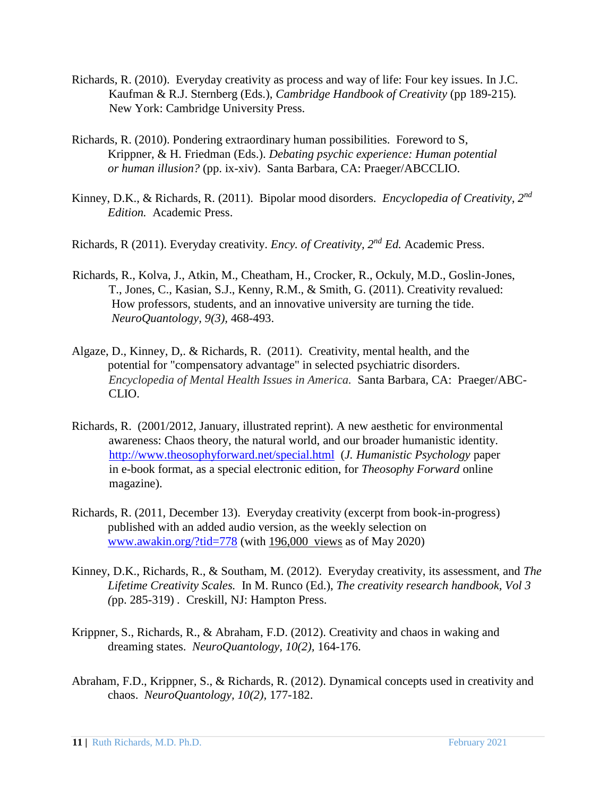- Richards, R. (2010). Everyday creativity as process and way of life: Four key issues. In J.C. Kaufman & R.J. Sternberg (Eds.), *Cambridge Handbook of Creativity* (pp 189-215)*.* New York: Cambridge University Press.
- Richards, R. (2010). Pondering extraordinary human possibilities. Foreword to S, Krippner, & H. Friedman (Eds.). *Debating psychic experience: Human potential or human illusion?* (pp. ix-xiv). Santa Barbara, CA: Praeger/ABCCLIO.
- Kinney, D.K., & Richards, R. (2011). Bipolar mood disorders. *Encyclopedia of Creativity, 2nd Edition.* Academic Press.
- Richards, R (2011). Everyday creativity. *Ency. of Creativity, 2nd Ed.* Academic Press.
- Richards, R., Kolva, J., Atkin, M., Cheatham, H., Crocker, R., Ockuly, M.D., Goslin-Jones, T., Jones, C., Kasian, S.J., Kenny, R.M., & Smith, G. (2011). Creativity revalued: How professors, students, and an innovative university are turning the tide. *NeuroQuantology, 9(3),* 468-493.
- Algaze, D., Kinney, D,. & Richards, R. (2011). Creativity, mental health, and the potential for "compensatory advantage" in selected psychiatric disorders. *Encyclopedia of Mental Health Issues in America.* Santa Barbara, CA: Praeger/ABC-CLIO.
- Richards, R. (2001/2012, January, illustrated reprint). A new aesthetic for environmental awareness: Chaos theory, the natural world, and our broader humanistic identity. <http://www.theosophyforward.net/special.html> (*J. Humanistic Psychology* paper in e-book format, as a special electronic edition, for *Theosophy Forward* online magazine).
- Richards, R. (2011, December 13). Everyday creativity (excerpt from book-in-progress) published with an added audio version, as the weekly selection on [www.awakin.org/?tid=778](http://www.awakin.org/?tid=778) (with 196,000 views as of May 2020)
- Kinney, D.K., Richards, R., & Southam, M. (2012). Everyday creativity, its assessment, and *The Lifetime Creativity Scales.* In M. Runco (Ed.), *The creativity research handbook, Vol 3 (*pp. 285-319) *.* Creskill, NJ: Hampton Press.
- Krippner, S., Richards, R., & Abraham, F.D. (2012). Creativity and chaos in waking and dreaming states. *NeuroQuantology, 10(2),* 164-176.
- Abraham, F.D., Krippner, S., & Richards, R. (2012). Dynamical concepts used in creativity and chaos. *NeuroQuantology, 10(2),* 177-182.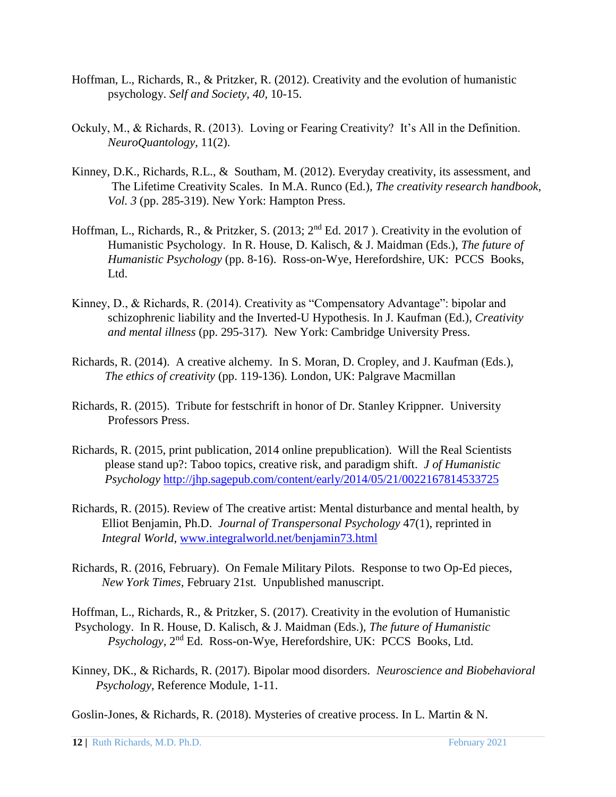- Hoffman, L., Richards, R., & Pritzker, R. (2012). Creativity and the evolution of humanistic psychology. *Self and Society, 40,* 10-15.
- Ockuly, M., & Richards, R. (2013). Loving or Fearing Creativity? It's All in the Definition. *NeuroQuantology,* 11(2).
- Kinney, D.K., Richards, R.L., & Southam, M. (2012). Everyday creativity, its assessment, and The Lifetime Creativity Scales. In M.A. Runco (Ed.), *The creativity research handbook, Vol. 3* (pp. 285-319). New York: Hampton Press.
- Hoffman, L., Richards, R., & Pritzker, S. (2013; 2nd Ed. 2017 ). Creativity in the evolution of Humanistic Psychology. In R. House, D. Kalisch, & J. Maidman (Eds.), *The future of Humanistic Psychology* (pp. 8-16). Ross-on-Wye, Herefordshire, UK: PCCS Books, Ltd.
- Kinney, D., & Richards, R. (2014). Creativity as "Compensatory Advantage": bipolar and schizophrenic liability and the Inverted-U Hypothesis. In J. Kaufman (Ed.), *Creativity and mental illness* (pp. 295-317)*.* New York: Cambridge University Press.
- Richards, R. (2014). A creative alchemy. In S. Moran, D. Cropley, and J. Kaufman (Eds.), *The ethics of creativity* (pp. 119-136)*.* London, UK: Palgrave Macmillan
- Richards, R. (2015). Tribute for festschrift in honor of Dr. Stanley Krippner. University Professors Press.
- Richards, R. (2015, print publication, 2014 online prepublication). Will the Real Scientists please stand up?: Taboo topics, creative risk, and paradigm shift. *J of Humanistic Psycholog[y](http://jhp.sagepub.com/content/early/2014/05/21/0022167814533725)* <http://jhp.sagepub.com/content/early/2014/05/21/0022167814533725>
- Richards, R. (2015). Review of The creative artist: Mental disturbance and mental health, by Elliot Benjamin, Ph.D. *Journal of Transpersonal Psychology* 47(1), reprinted in *Integral World*, [www.integralworld.net/benjamin73.html](http://www.integralworld.net/benjamin73.html)
- Richards, R. (2016, February). On Female Military Pilots. Response to two Op-Ed pieces, *New York Times,* February 21st*.* Unpublished manuscript.

Hoffman, L., Richards, R., & Pritzker, S. (2017). Creativity in the evolution of Humanistic Psychology. In R. House, D. Kalisch, & J. Maidman (Eds.), *The future of Humanistic Psychology*, 2nd Ed. Ross-on-Wye, Herefordshire, UK: PCCS Books, Ltd.

Kinney, DK., & Richards, R. (2017). Bipolar mood disorders. *Neuroscience and Biobehavioral Psychology,* Reference Module, 1-11.

Goslin-Jones, & Richards, R. (2018). Mysteries of creative process. In L. Martin & N.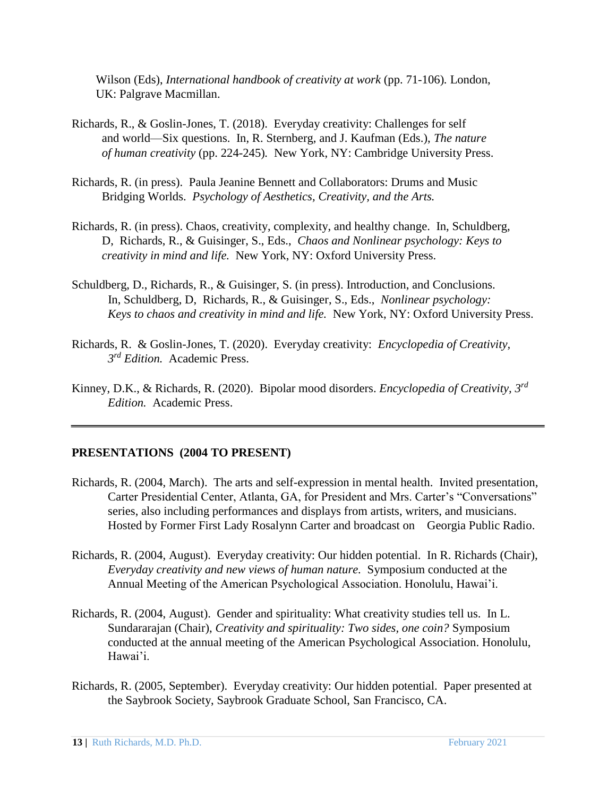Wilson (Eds), *International handbook of creativity at work* (pp. 71-106)*.* London, UK: Palgrave Macmillan.

- Richards, R., & Goslin-Jones, T. (2018). Everyday creativity: Challenges for self and world—Six questions. In, R. Sternberg, and J. Kaufman (Eds.), *The nature of human creativity* (pp. 224-245)*.* New York, NY: Cambridge University Press.
- Richards, R. (in press). Paula Jeanine Bennett and Collaborators: Drums and Music Bridging Worlds. *Psychology of Aesthetics, Creativity, and the Arts.*
- Richards, R. (in press). Chaos, creativity, complexity, and healthy change. In, Schuldberg, D, Richards, R., & Guisinger, S., Eds., *Chaos and Nonlinear psychology: Keys to creativity in mind and life.* New York, NY: Oxford University Press.
- Schuldberg, D., Richards, R., & Guisinger, S. (in press). Introduction, and Conclusions. In, Schuldberg, D, Richards, R., & Guisinger, S., Eds., *Nonlinear psychology: Keys to chaos and creativity in mind and life.* New York, NY: Oxford University Press.
- Richards, R. & Goslin-Jones, T. (2020). Everyday creativity: *Encyclopedia of Creativity, 3 rd Edition.* Academic Press.
- Kinney, D.K., & Richards, R. (2020). Bipolar mood disorders. *Encyclopedia of Creativity, 3rd Edition.* Academic Press.

#### **PRESENTATIONS (2004 TO PRESENT)**

- Richards, R. (2004, March). The arts and self-expression in mental health. Invited presentation, Carter Presidential Center, Atlanta, GA, for President and Mrs. Carter's "Conversations" series, also including performances and displays from artists, writers, and musicians. Hosted by Former First Lady Rosalynn Carter and broadcast on Georgia Public Radio.
- Richards, R. (2004, August). Everyday creativity: Our hidden potential. In R. Richards (Chair), *Everyday creativity and new views of human nature.* Symposium conducted at the Annual Meeting of the American Psychological Association. Honolulu, Hawai'i.
- Richards, R. (2004, August). Gender and spirituality: What creativity studies tell us. In L. Sundararajan (Chair), *Creativity and spirituality: Two sides, one coin?* Symposium conducted at the annual meeting of the American Psychological Association. Honolulu, Hawai'i.
- Richards, R. (2005, September). Everyday creativity: Our hidden potential. Paper presented at the Saybrook Society, Saybrook Graduate School, San Francisco, CA.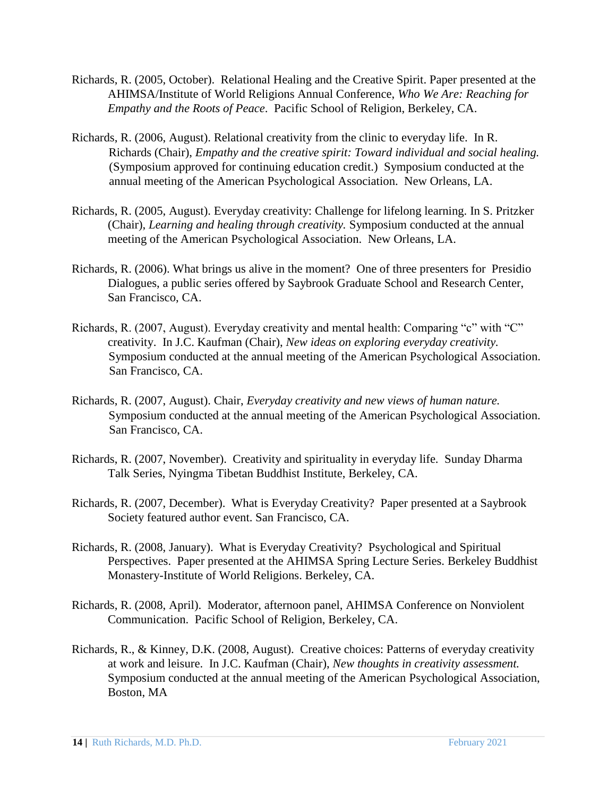- Richards, R. (2005, October). Relational Healing and the Creative Spirit. Paper presented at the AHIMSA/Institute of World Religions Annual Conference, *Who We Are: Reaching for Empathy and the Roots of Peace*. Pacific School of Religion, Berkeley, CA.
- Richards, R. (2006, August). Relational creativity from the clinic to everyday life. In R. Richards (Chair), *Empathy and the creative spirit: Toward individual and social healing.*  (Symposium approved for continuing education credit.) Symposium conducted at the annual meeting of the American Psychological Association. New Orleans, LA.
- Richards, R. (2005, August). Everyday creativity: Challenge for lifelong learning. In S. Pritzker (Chair), *Learning and healing through creativity.* Symposium conducted at the annual meeting of the American Psychological Association. New Orleans, LA.
- Richards, R. (2006). What brings us alive in the moment? One of three presenters for Presidio Dialogues, a public series offered by Saybrook Graduate School and Research Center, San Francisco, CA.
- Richards, R. (2007, August). Everyday creativity and mental health: Comparing "c" with "C" creativity. In J.C. Kaufman (Chair), *New ideas on exploring everyday creativity.* Symposium conducted at the annual meeting of the American Psychological Association. San Francisco, CA.
- Richards, R. (2007, August). Chair, *Everyday creativity and new views of human nature.*  Symposium conducted at the annual meeting of the American Psychological Association. San Francisco, CA.
- Richards, R. (2007, November). Creativity and spirituality in everyday life. Sunday Dharma Talk Series, Nyingma Tibetan Buddhist Institute, Berkeley, CA.
- Richards, R. (2007, December). What is Everyday Creativity? Paper presented at a Saybrook Society featured author event. San Francisco, CA.
- Richards, R. (2008, January). What is Everyday Creativity? Psychological and Spiritual Perspectives. Paper presented at the AHIMSA Spring Lecture Series. Berkeley Buddhist Monastery-Institute of World Religions. Berkeley, CA.
- Richards, R. (2008, April). Moderator, afternoon panel, AHIMSA Conference on Nonviolent Communication. Pacific School of Religion, Berkeley, CA.
- Richards, R., & Kinney, D.K. (2008, August). Creative choices: Patterns of everyday creativity at work and leisure. In J.C. Kaufman (Chair), *New thoughts in creativity assessment.*  Symposium conducted at the annual meeting of the American Psychological Association, Boston, MA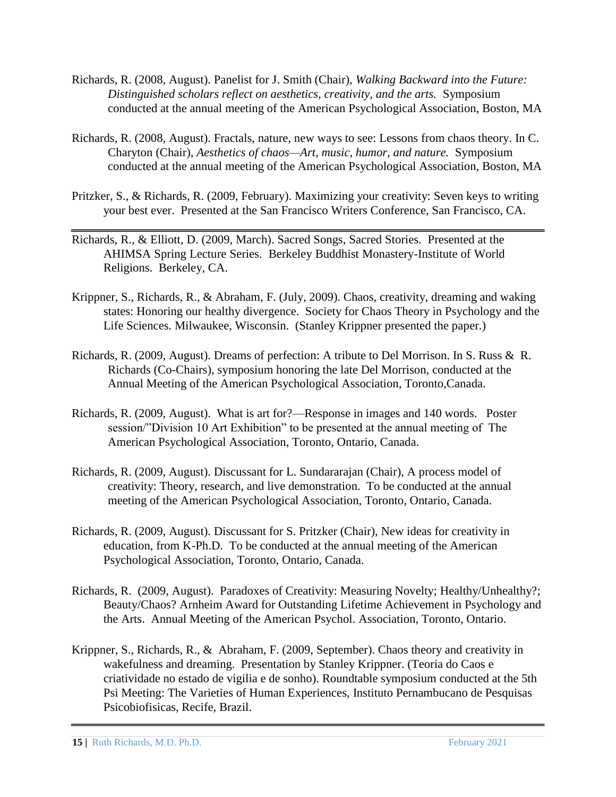- Richards, R. (2008, August). Panelist for J. Smith (Chair), *Walking Backward into the Future: Distinguished scholars reflect on aesthetics, creativity, and the arts.* Symposium conducted at the annual meeting of the American Psychological Association, Boston, MA
- Richards, R. (2008, August). Fractals, nature, new ways to see: Lessons from chaos theory. In C. Charyton (Chair), *Aesthetics of chaos—Art, music, humor, and nature.* Symposium conducted at the annual meeting of the American Psychological Association, Boston, MA
- Pritzker, S., & Richards, R. (2009, February). Maximizing your creativity: Seven keys to writing your best ever. Presented at the San Francisco Writers Conference, San Francisco, CA.
- Richards, R., & Elliott, D. (2009, March). Sacred Songs, Sacred Stories. Presented at the AHIMSA Spring Lecture Series. Berkeley Buddhist Monastery-Institute of World Religions. Berkeley, CA.
- Krippner, S., Richards, R., & Abraham, F. (July, 2009). Chaos, creativity, dreaming and waking states: Honoring our healthy divergence. Society for Chaos Theory in Psychology and the Life Sciences. Milwaukee, Wisconsin. (Stanley Krippner presented the paper.)
- Richards, R. (2009, August). Dreams of perfection: A tribute to Del Morrison. In S. Russ & R. Richards (Co-Chairs), symposium honoring the late Del Morrison, conducted at the Annual Meeting of the American Psychological Association, Toronto,Canada.
- Richards, R. (2009, August). What is art for?—Response in images and 140 words. Poster session/"Division 10 Art Exhibition" to be presented at the annual meeting of The American Psychological Association, Toronto, Ontario, Canada.
- Richards, R. (2009, August). Discussant for L. Sundararajan (Chair), A process model of creativity: Theory, research, and live demonstration. To be conducted at the annual meeting of the American Psychological Association, Toronto, Ontario, Canada.
- Richards, R. (2009, August). Discussant for S. Pritzker (Chair), New ideas for creativity in education, from K-Ph.D. To be conducted at the annual meeting of the American Psychological Association, Toronto, Ontario, Canada.
- Richards, R. (2009, August). Paradoxes of Creativity: Measuring Novelty; Healthy/Unhealthy?; Beauty/Chaos? Arnheim Award for Outstanding Lifetime Achievement in Psychology and the Arts. Annual Meeting of the American Psychol. Association, Toronto, Ontario.
- Krippner, S., Richards, R., & Abraham, F. (2009, September). Chaos theory and creativity in wakefulness and dreaming. Presentation by Stanley Krippner. (Teoria do Caos e criatividade no estado de vigilia e de sonho). Roundtable symposium conducted at the 5th Psi Meeting: The Varieties of Human Experiences, Instituto Pernambucano de Pesquisas Psicobiofisicas, Recife, Brazil.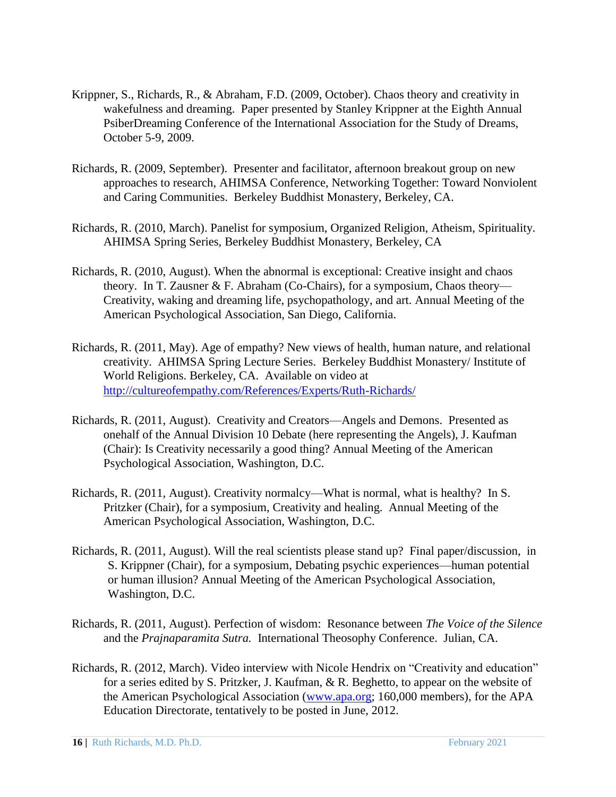- Krippner, S., Richards, R., & Abraham, F.D. (2009, October). Chaos theory and creativity in wakefulness and dreaming. Paper presented by Stanley Krippner at the Eighth Annual PsiberDreaming Conference of the International Association for the Study of Dreams, October 5-9, 2009.
- Richards, R. (2009, September). Presenter and facilitator, afternoon breakout group on new approaches to research, AHIMSA Conference, Networking Together: Toward Nonviolent and Caring Communities. Berkeley Buddhist Monastery, Berkeley, CA.
- Richards, R. (2010, March). Panelist for symposium, Organized Religion, Atheism, Spirituality. AHIMSA Spring Series, Berkeley Buddhist Monastery, Berkeley, CA
- Richards, R. (2010, August). When the abnormal is exceptional: Creative insight and chaos theory. In T. Zausner & F. Abraham (Co-Chairs), for a symposium, Chaos theory— Creativity, waking and dreaming life, psychopathology, and art. Annual Meeting of the American Psychological Association, San Diego, California.
- Richards, R. (2011, May). Age of empathy? New views of health, human nature, and relational creativity. AHIMSA Spring Lecture Series. Berkeley Buddhist Monastery/ Institute of World Religions. Berkeley, CA. Available on video at <http://cultureofempathy.com/References/Experts/Ruth-Richards/>
- Richards, R. (2011, August). Creativity and Creators—Angels and Demons. Presented as onehalf of the Annual Division 10 Debate (here representing the Angels), J. Kaufman (Chair): Is Creativity necessarily a good thing? Annual Meeting of the American Psychological Association, Washington, D.C.
- Richards, R. (2011, August). Creativity normalcy—What is normal, what is healthy? In S. Pritzker (Chair), for a symposium, Creativity and healing. Annual Meeting of the American Psychological Association, Washington, D.C.
- Richards, R. (2011, August). Will the real scientists please stand up? Final paper/discussion, in S. Krippner (Chair), for a symposium, Debating psychic experiences—human potential or human illusion? Annual Meeting of the American Psychological Association, Washington, D.C.
- Richards, R. (2011, August). Perfection of wisdom: Resonance between *The Voice of the Silence*  and the *Prajnaparamita Sutra.* International Theosophy Conference. Julian, CA.
- Richards, R. (2012, March). Video interview with Nicole Hendrix on "Creativity and education" for a series edited by S. Pritzker, J. Kaufman, & R. Beghetto, to appear on the website of the American Psychological Association [\(www.apa.org;](http://www.apa.org/) 160,000 members), for the APA Education Directorate, tentatively to be posted in June, 2012.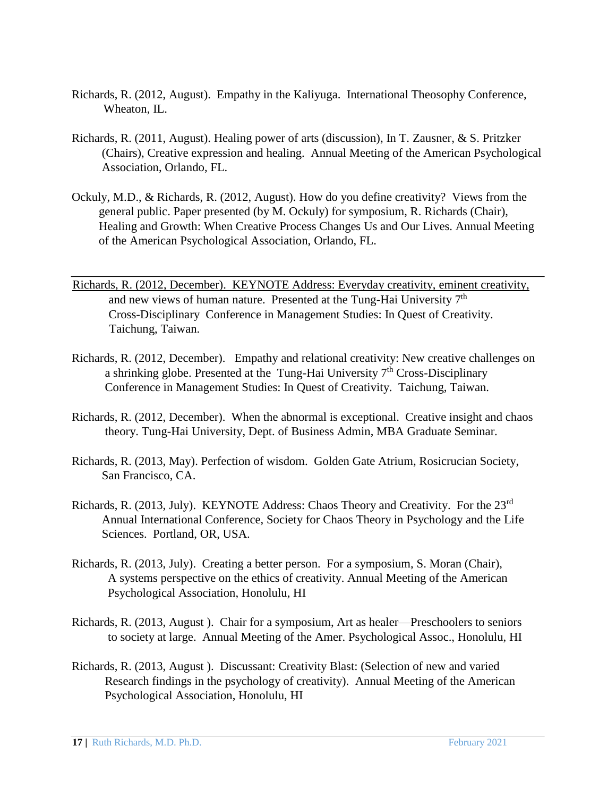- Richards, R. (2012, August). Empathy in the Kaliyuga. International Theosophy Conference, Wheaton, IL.
- Richards, R. (2011, August). Healing power of arts (discussion), In T. Zausner, & S. Pritzker (Chairs), Creative expression and healing. Annual Meeting of the American Psychological Association, Orlando, FL.
- Ockuly, M.D., & Richards, R. (2012, August). How do you define creativity? Views from the general public. Paper presented (by M. Ockuly) for symposium, R. Richards (Chair), Healing and Growth: When Creative Process Changes Us and Our Lives. Annual Meeting of the American Psychological Association, Orlando, FL.
- Richards, R. (2012, December). KEYNOTE Address: Everyday creativity, eminent creativity, and new views of human nature. Presented at the Tung-Hai University 7<sup>th</sup> Cross-Disciplinary Conference in Management Studies: In Quest of Creativity. Taichung, Taiwan.
- Richards, R. (2012, December). Empathy and relational creativity: New creative challenges on a shrinking globe. Presented at the Tung-Hai University  $7<sup>th</sup>$  Cross-Disciplinary Conference in Management Studies: In Quest of Creativity. Taichung, Taiwan.
- Richards, R. (2012, December). When the abnormal is exceptional. Creative insight and chaos theory. Tung-Hai University, Dept. of Business Admin, MBA Graduate Seminar.
- Richards, R. (2013, May). Perfection of wisdom. Golden Gate Atrium, Rosicrucian Society, San Francisco, CA.
- Richards, R. (2013, July). KEYNOTE Address: Chaos Theory and Creativity. For the 23<sup>rd</sup> Annual International Conference, Society for Chaos Theory in Psychology and the Life Sciences. Portland, OR, USA.
- Richards, R. (2013, July). Creating a better person. For a symposium, S. Moran (Chair), A systems perspective on the ethics of creativity. Annual Meeting of the American Psychological Association, Honolulu, HI
- Richards, R. (2013, August ). Chair for a symposium, Art as healer—Preschoolers to seniors to society at large. Annual Meeting of the Amer. Psychological Assoc., Honolulu, HI
- Richards, R. (2013, August ). Discussant: Creativity Blast: (Selection of new and varied Research findings in the psychology of creativity). Annual Meeting of the American Psychological Association, Honolulu, HI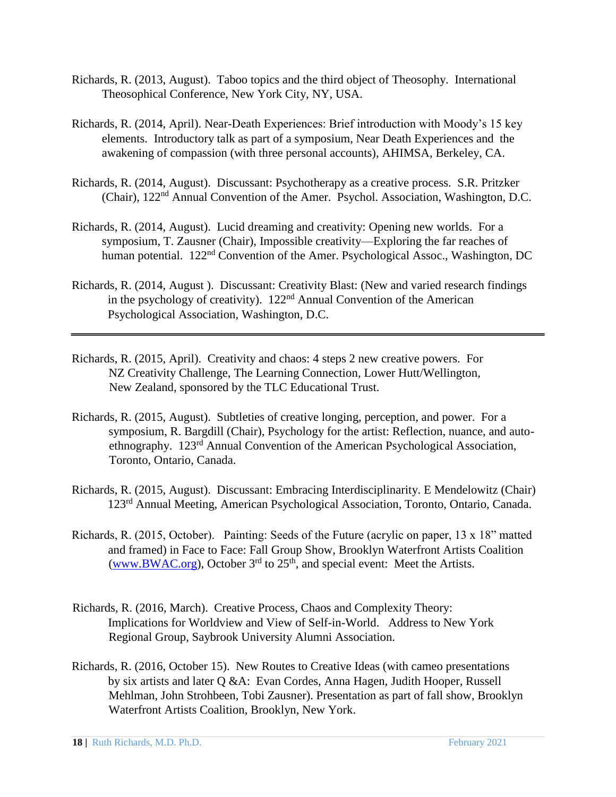- Richards, R. (2013, August). Taboo topics and the third object of Theosophy. International Theosophical Conference, New York City, NY, USA.
- Richards, R. (2014, April). Near-Death Experiences: Brief introduction with Moody's 15 key elements. Introductory talk as part of a symposium, Near Death Experiences and the awakening of compassion (with three personal accounts), AHIMSA, Berkeley, CA.
- Richards, R. (2014, August). Discussant: Psychotherapy as a creative process. S.R. Pritzker (Chair), 122nd Annual Convention of the Amer. Psychol. Association, Washington, D.C.
- Richards, R. (2014, August). Lucid dreaming and creativity: Opening new worlds. For a symposium, T. Zausner (Chair), Impossible creativity—Exploring the far reaches of human potential. 122<sup>nd</sup> Convention of the Amer. Psychological Assoc., Washington, DC
- Richards, R. (2014, August ). Discussant: Creativity Blast: (New and varied research findings in the psychology of creativity).  $122<sup>nd</sup>$  Annual Convention of the American Psychological Association, Washington, D.C.
- Richards, R. (2015, April). Creativity and chaos: 4 steps 2 new creative powers. For NZ Creativity Challenge, The Learning Connection, Lower Hutt/Wellington, New Zealand, sponsored by the TLC Educational Trust.
- Richards, R. (2015, August). Subtleties of creative longing, perception, and power. For a symposium, R. Bargdill (Chair), Psychology for the artist: Reflection, nuance, and autoethnography. 123rd Annual Convention of the American Psychological Association, Toronto, Ontario, Canada.
- Richards, R. (2015, August). Discussant: Embracing Interdisciplinarity. E Mendelowitz (Chair) 123rd Annual Meeting, American Psychological Association, Toronto, Ontario, Canada.
- Richards, R. (2015, October). Painting: Seeds of the Future (acrylic on paper, 13 x 18" matted and framed) in Face to Face: Fall Group Show, Brooklyn Waterfront Artists Coalition [\(www.BWAC.org\),](http://www.bwac.org/) October  $3<sup>rd</sup>$  to  $25<sup>th</sup>$ , and special event: Meet the Artists.
- Richards, R. (2016, March). Creative Process, Chaos and Complexity Theory: Implications for Worldview and View of Self-in-World. Address to New York Regional Group, Saybrook University Alumni Association.
- Richards, R. (2016, October 15). New Routes to Creative Ideas (with cameo presentations by six artists and later Q &A: Evan Cordes, Anna Hagen, Judith Hooper, Russell Mehlman, John Strohbeen, Tobi Zausner). Presentation as part of fall show, Brooklyn Waterfront Artists Coalition, Brooklyn, New York.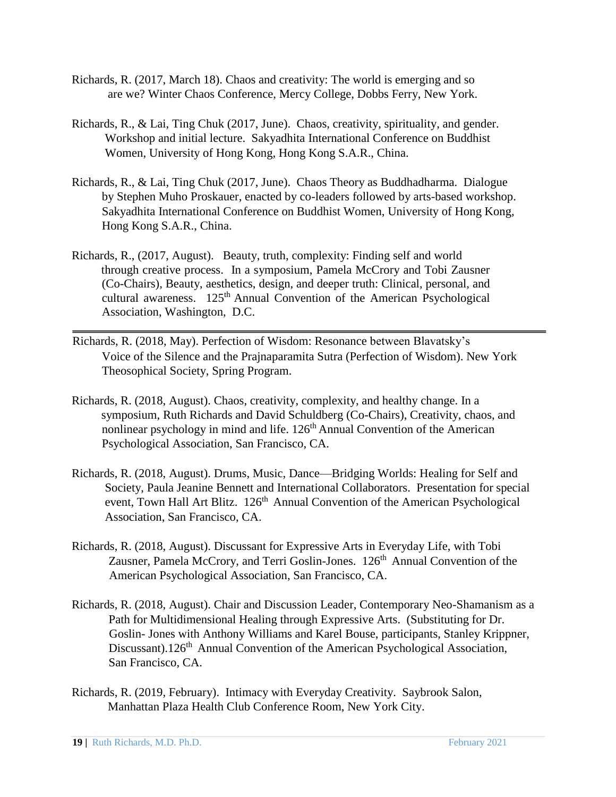- Richards, R. (2017, March 18). Chaos and creativity: The world is emerging and so are we? Winter Chaos Conference, Mercy College, Dobbs Ferry, New York.
- Richards, R., & Lai, Ting Chuk (2017, June). Chaos, creativity, spirituality, and gender. Workshop and initial lecture. Sakyadhita International Conference on Buddhist Women, University of Hong Kong, Hong Kong S.A.R., China.
- Richards, R., & Lai, Ting Chuk (2017, June). Chaos Theory as Buddhadharma. Dialogue by Stephen Muho Proskauer, enacted by co-leaders followed by arts-based workshop. Sakyadhita International Conference on Buddhist Women, University of Hong Kong, Hong Kong S.A.R., China.
- Richards, R., (2017, August). Beauty, truth, complexity: Finding self and world through creative process. In a symposium, Pamela McCrory and Tobi Zausner (Co-Chairs), Beauty, aesthetics, design, and deeper truth: Clinical, personal, and cultural awareness. 125<sup>th</sup> Annual Convention of the American Psychological Association, Washington, D.C.
- Richards, R. (2018, May). Perfection of Wisdom: Resonance between Blavatsky's Voice of the Silence and the Prajnaparamita Sutra (Perfection of Wisdom). New York Theosophical Society, Spring Program.
- Richards, R. (2018, August). Chaos, creativity, complexity, and healthy change. In a symposium, Ruth Richards and David Schuldberg (Co-Chairs), Creativity, chaos, and nonlinear psychology in mind and life. 126<sup>th</sup> Annual Convention of the American Psychological Association, San Francisco, CA.
- Richards, R. (2018, August). Drums, Music, Dance—Bridging Worlds: Healing for Self and Society, Paula Jeanine Bennett and International Collaborators. Presentation for special event, Town Hall Art Blitz. 126<sup>th</sup> Annual Convention of the American Psychological Association, San Francisco, CA.
- Richards, R. (2018, August). Discussant for Expressive Arts in Everyday Life, with Tobi Zausner, Pamela McCrory, and Terri Goslin-Jones. 126<sup>th</sup> Annual Convention of the American Psychological Association, San Francisco, CA.
- Richards, R. (2018, August). Chair and Discussion Leader, Contemporary Neo-Shamanism as a Path for Multidimensional Healing through Expressive Arts. (Substituting for Dr. Goslin- Jones with Anthony Williams and Karel Bouse, participants, Stanley Krippner, Discussant).126<sup>th</sup> Annual Convention of the American Psychological Association, San Francisco, CA.
- Richards, R. (2019, February). Intimacy with Everyday Creativity. Saybrook Salon, Manhattan Plaza Health Club Conference Room, New York City.